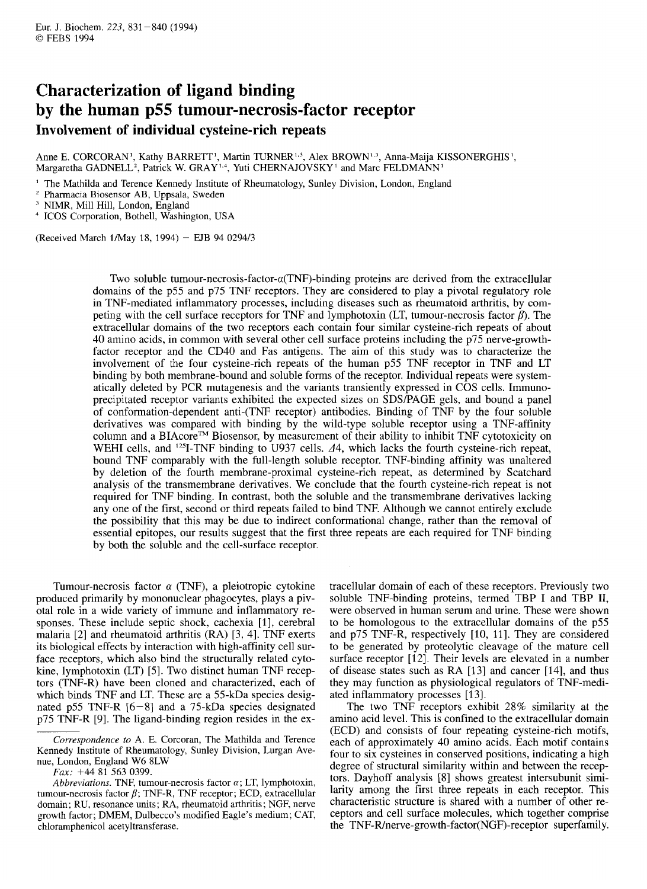# **Characterization of ligand binding by the human p55 tumour-necrosis-factor receptor Involvement of individual cysteine-rich repeats**

Anne E. CORCORAN<sup>1</sup>, Kathy BARRETT<sup>1</sup>, Martin TURNER<sup>1,3</sup>, Alex BROWN<sup>1,3</sup>, Anna-Maija KISSONERGHIS<sup>1</sup>, Margaretha GADNELL<sup>2</sup>, Patrick W. GRAY<sup>1,4</sup>, Yuti CHERNAJOVSKY<sup>1</sup> and Marc FELDMANN<sup>1</sup>

' The Mathilda and Terence Kennedy Institute of Rheumatology, Sunley Division, London, England

- <sup>2</sup> Pharmacia Biosensor AB, Uppsala, Sweden
- NIMR, Mill Hill, London, England

<sup>4</sup> ICOS Corporation, Bothell, Washington, USA

(Received March 1May 18, 1994) - EJB 94 0294/3

Two soluble **tumour-necrosis-factor-a(TNF)-binding** proteins are derived from the extracellular domains of the p55 and p75 TNF receptors. They are considered to play a pivotal regulatory role in TNF-mediated inflammatory processes, including diseases such as rheumatoid arthritis, by competing with the cell surface receptors for TNF and lymphotoxin (LT, tumour-necrosis factor  $\beta$ ). The extracellular domains of the two receptors each contain four similar cysteine-rich repeats of about 40 amino acids, in common with several other cell surface proteins including the p75 nerve-growthfactor receptor and the CD40 and Fas antigens. The aim of this study was to characterize the involvement of the four cysteine-rich repeats of the human p55 TNF receptor in TNF and LT binding by both membrane-bound and soluble forms of the receptor. Individual repeats were systematically deleted by PCR mutagenesis and the variants transiently expressed in COS cells. Immunoprecipitated receptor variants exhibited the expected sizes on SDSPAGE gels, and bound a panel of conformation-dependent anti-(TNF receptor) antibodies. Binding of TNF by the four soluble derivatives was compared with binding by the wild-type soluble receptor using a TNF-affinity column and a BIAcore<sup>TM</sup> Biosensor, by measurement of their ability to inhibit TNF cytotoxicity on WEHI cells, and <sup>125</sup>I-TNF binding to U937 cells.  $\Delta$ 4, which lacks the fourth cysteine-rich repeat, bound TNF comparably with the full-length soluble receptor. TNF-binding affinity was unaltered by deletion of the fourth membrane-proximal cysteine-rich repeat, as determined by Scatchard analysis of the transmembrane derivatives. We conclude that the fourth cysteine-rich repeat is not required for TNF binding. In contrast, both the soluble and the transmembrane derivatives lacking any one of the first, second or third repeats failed to bind TNF. Although we cannot entirely exclude the possibility that this may be due to indirect conformational change, rather than the removal of essential epitopes, our results suggest that the first three repeats are each required for TNF binding by both the soluble and the cell-surface receptor

Tumour-necrosis factor  $\alpha$  (TNF), a pleiotropic cytokine produced primarily by mononuclear phagocytes, plays a pivotal role in a wide variety of immune and inflammatory responses. These include septic shock, cachexia [1], cerebral malaria [2] and rheumatoid arthritis (RA) [3, 41. TNF exerts its biological effects by interaction with high-affinity cell surface receptors, which also bind the structurally related cytokine, lymphotoxin (LT) *[5].* Two distinct human TNF receptors (TNF-R) have been cloned and characterized, each of which binds TNF and LT. These are a 55-kDa species designated p55 TNF-R  $[6-8]$  and a 75-kDa species designated p75 TNF-R [9]. The ligand-binding region resides in the ex-

*Fax:* +44 81 563 0399.

*Abbreviations.* TNF, tumour-necrosis factor  $\alpha$ ; LT, lymphotoxin, tumour-necrosis factor  $\beta$ ; TNF-R, TNF receptor; ECD, extracellular domain; RU, resonance units; RA, rheumatoid arthritis; NGF, nerve growth factor; DMEM, Dulbecco's modified Eagle's medium; CAT, chloramphenicol acetyltransferase.

tracellular domain of each of these receptors. Previously two soluble TNF-binding proteins, termed TBP I and TBP II, were observed in human serum and urine. These were shown to be homologous to the extracellular domains of the p55 and p75 TNF-R, respectively [10, 11]. They are considered to be generated by proteolytic cleavage of the mature cell surface receptor [12]. Their levels are elevated in a number of disease states such as RA [13] and cancer [14], and thus they may function as physiological regulators of TNF-mediated inflammatory processes [13].

The two TNF receptors exhibit 28% similarity at the amino acid level. This is confined to the extracellular domain (ECD) and consists of four repeating cysteine-rich motifs, each of approximately 40 amino acids. Each motif contains four to six cysteines in conserved positions, indicating a high degree of structural similarity within and between the receptors. Dayhoff analysis [S] shows greatest intersubunit similarity among the first three repeats in each receptor. This characteristic structure is shared with a number of other receptors and cell surface molecules, which together comprise the **TNF-Wnerve-growth-factor(NGF)-receptor** superfamily.

*Correspondence to* A. E. Corcoran, The Mathilda and Terence Kennedy lnstitute of Rheumatology, Sunley Division, Lurgan Avenue, London, England W6 8LW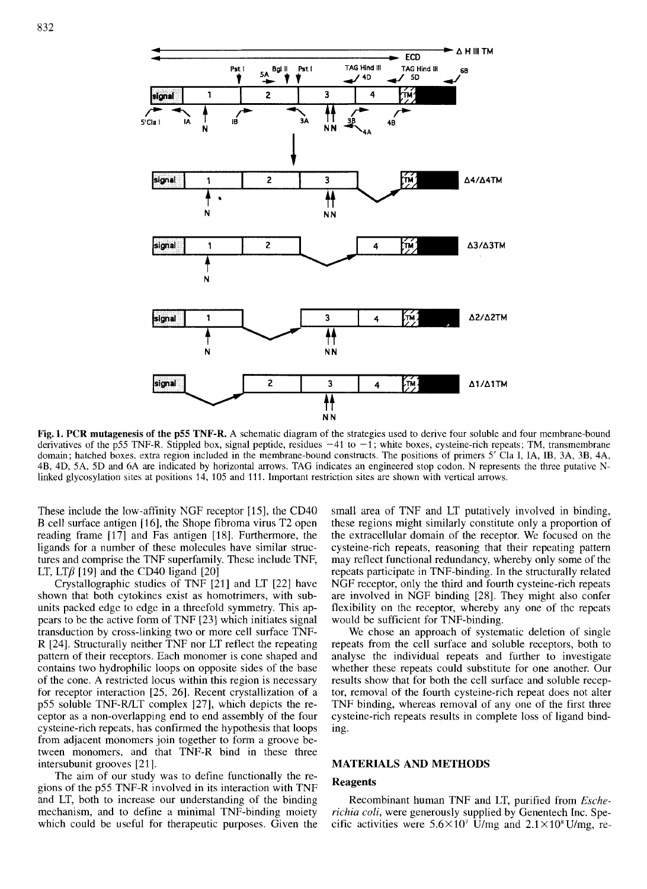

**Fig. 1. PCR mutagenesis of the pS5 TNF-R.** A schematic diagram of the strategies used to derive four soluble and four membrane-bound derivatives of the p55 TNF-R. Stippled box, signal peptide, residues  $-41$  to  $-1$ ; white boxes, cysteine-rich repeats; TM, transmembrane domain; hatched boxes, extra region included in the membrane-bound constructs. The positions of primers *5'* Cla I, IA, IB, 3A, 3B, 4A, 4B, 4D, 5A, 5D and 6A are indicated by horizontal arrows. TAG indicates an engineered stop codon. N represents the three putative Nlinked glycosylation sites at positions 14, 105 and 111. Important restriction sites are shown with vertical arrows.

These include the low-affinity NGF receptor [15], the CD40 B cell surface antigen (161, the Shope fibroma virus T2 open reading frame [17] and Fas antigen [18]. Furthermore, the ligands for a number of these molecules have similar structures and comprise the TNF superfamily. These include TNF, LT, LT $\beta$  [19] and the CD40 ligand [20]

Crystallographic studies of TNF [21] and LT [22] have shown that both cytokines exist as homotrimers, with subunits packed edge to edge in a threefold symmetry. This appears to be the active form of TNF [23] which initiates signal transduction by cross-linking two or more cell surface TNF-R [24]. Structurally neither TNF nor LT reflect the repeating pattern of their receptors. Each monomer is cone shaped and contains two hydrophilic loops on opposite sides of the base of the cone. **A** restricted locus within this region is necessary for receptor interaction [25, 26]. Recent crystallization of a p55 soluble TNF-RLT complex [27], which depicts the receptor as a non-overlapping end to end assembly of the four cysteine-rich repeats, has confirmed the hypothesis that loops from adjacent monomers join together to form a groove between monomers, and that TNF-R bind in these three intersubunit grooves [21].

The aim of our study was to define functionally the regions of the pSS TNF-R involved in its interaction with TNF and LT, both to increase our understanding of the binding mechanism, and to define a minimal TNF-binding moiety which could be useful for therapeutic purposes. Given the small area of TNF and LT putatively involved in binding, these regions might similarly constitute only a proportion of the extracellular domain of the receptor. We focused on the cysteine-rich repeats, reasoning that their repeating pattern may reflect functional redundancy, whereby only some of the repeats participate in TNF-binding. In the structurally related NGF receptor, only the third and fourth cysteine-rich repeats are involved in NGF binding [28]. They might also confer flexibility on the receptor, whereby any one of the repeats would be sufficient for TNF-binding.

We chose an approach of systematic deletion of single repeats from the cell surface and soluble receptors, both to analyse the individual repeats and further to investigate whether these repeats could substitute for one another. Our results show that for both the cell surface and soluble receptor, removal of the fourth cysteine-rich repeat does not alter TNF binding, whereas removal of any one of the first three cysteine-rich repeats results in complete loss of ligand binding.

### **MATERIALS AND METHODS**

### **Reagents**

Recombinant human TNF and LT, purified from *Escherichia coli,* were generously supplied by Genentech Inc. Specific activities were  $5.6 \times 10^7$  U/mg and  $2.1 \times 10^8$  U/mg, re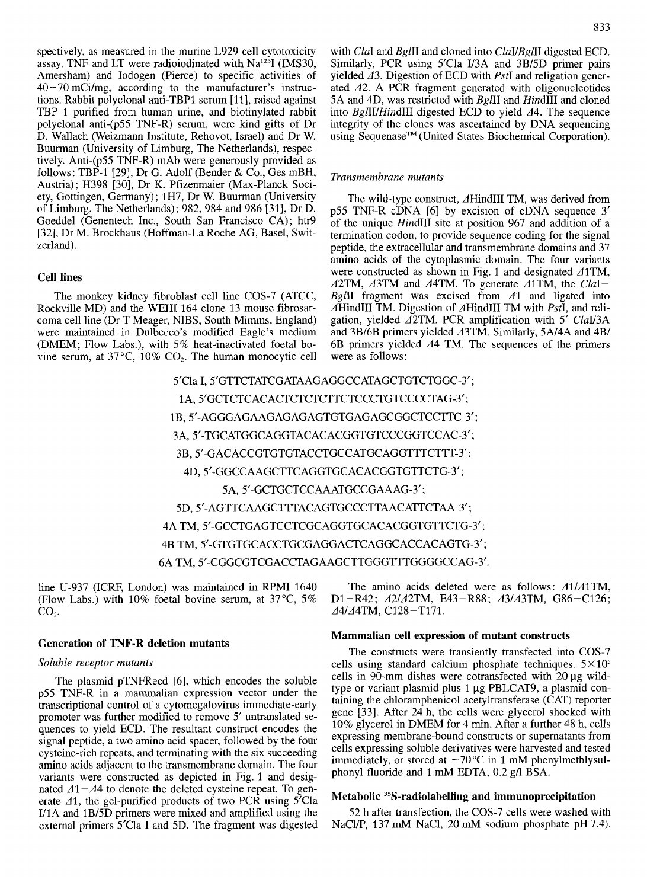spectively, as measured in the murine L929 cell cytotoxicity assay. TNF and LT were radioiodinated with  $Na<sup>125</sup>I$  (IMS30, Amersham) and Iodogen (Pierce) to specific activities of 40-70 mCi/mg, according to the manufacturer's instructions. Rabbit polyclonal anti-TBP1 serum [11], raised against TBP 1 purified from human urine, and biotinylated rabbit polyclonal anti-(p55 TNF-R) serum, were kind gifts of Dr D. Wallach (Weizmann Institute, Rehovot, Israel) and Dr W. Buurman (University of Limburg, The Netherlands), respectively. Anti-(p55 TNF-R) mAb were generously provided as follows: TBP-1 [29], Dr *G.* Adolf (Bender & Co., Ges mBH, Austria); H398 [30], Dr K. Pfizenmaier (Max-Planck Society, Gottingen, Germany); 1H7, Dr W. Buurman (University of Limburg, The Netherlands); 982, 984 and 986 [31], Dr D. Goeddel (Genentech Inc., South San Francisco CA); htr9 [32], Dr M. Brockhaus (Hoffman-La Roche AG, Basel, Switzerland).

# **Cell lines**

The monkey kidney fibroblast cell line COS-7 (ATCC, Rockville MD) and the WEHI 164 clone 13 mouse fibrosarcoma cell line (Dr T Meager, NIBS, South Mimms, England) were maintained in Dulbecco's modified Eagle's medium (DMEM ; Flow Labs.), with *5* % heat-inactivated foetal bovine serum, at  $37^{\circ}$ C,  $10\%$  CO<sub>2</sub>. The human monocytic cell with ClaI and BglII and cloned into  $ClaUBgIII$  digested ECD. Similarly, PCR using 5'Cla U3A and 3B/5D primer pairs yielded  $\Delta 3$ . Digestion of ECD with *PstI* and religation generated  $\Delta$ 2. A PCR fragment generated with oligonucleotides 5A and 4D, was restricted with BgIII and HindIII and cloned into  $Bg\ddot{I}I\ddot{I}H\dot{I}n\dot{I}II$  digested ECD to yield  $\Delta$ 4. The sequence integrity of the clones was ascertained by DNA sequencing using Sequenase<sup>™</sup> (United States Biochemical Corporation).

#### Transmembrane *mutants*

The wild-type construct, 4HindIII TM, was derived from p55 TNF-R cDNA [6] by excision of cDNA sequence 3' of the unique HindIII site at position 967 and addition of a termination codon, to provide sequence coding for the signal peptide, the extracellular **and** transmembrane domains and 37 amino acids of the cytoplasmic domain. The four variants were constructed as shown in Fig. 1 and designated  $\triangle$ 1TM,  $\triangle$ 2TM,  $\triangle$ 3TM and  $\triangle$ 4TM. To generate  $\triangle$ 1TM, the ClaI-BgIII fragment was excised from  $\Delta$ 1 and ligated into  $\overline{A}$ HindIII TM. Digestion of  $\overline{A}$ HindIII TM with PstI, and religation, yielded  $\triangle 2TM$ . PCR amplification with 5' ClaI/3A and 3B/6B primers yielded  $\triangle$ 3TM. Similarly, 5A/4A and 4B/ 6B primers yielded  $\Delta$ 4 TM. The sequences of the primers were as follows:

5'Cla I, S'GTTCTATCGATAAGAGGCCATAGCTGTCTGGC-3' ; 1A, 5'GCTCTCACACTCTCTCTTCTCCCTGTCCCCTAG-3'; 1 B, 5'-AGGGAGAAGAGAGAGTGTGAGAGCGGCTCCTTC-3'; 3A, 5'-TGCATGGCAGGTACACACGGTGTCCCGGTCCAC-3'; 3B, 5'-GACACCGTGTGTACCTGCCATGCAGGTTTCTTT-3'; 4D, S'GGCCAAGCTTCAGGTGCACACGGTGTTCTG-3' ; 5A, 5'-GCTGCTCCAAATGCCGAAAG-3'; 5D, **S'-AGTTCAAGCTTTACAGTGCCCTTAACATTCTAA-3';**  4A TM, S'GCCTGAGTCCTCGCAGGTGCACACGGTGTTCTG-3' ; 4B TM, 5'-GTGTGCACCTGCGAGGACTCAGGCACCACAGTG-3'; 6A TM, S'CGGCGTCGACCTAGAAGCTTGGGTTTGGGGCCAG-3'.

line U-937 (ICRF, London) was maintained in RPMI 1640 (Flow Labs.) with 10% foetal bovine serum, at  $37^{\circ}$ C,  $5\%$  $CO<sub>2</sub>$ .

# **Generation of TNF-R deletion mutants**

#### Soluble receptor mutants

The plasmid pTNFRecd [6], which encodes the soluble p55 TNF-R in a mammalian expression vector under the transcriptional control of a cytomegalovirus immediate-early promoter was further modified to remove *5'* untranslated sequences to yield ECD. The resultant construct encodes the signal peptide, a two amino acid spacer, followed by the four cysteine-rich repeats, and terminating with the six succeeding amino acids adjacent to the transmembrane domain. The four variants were constructed as depicted in Fig. 1 and designated  $\Delta 1 - \Delta 4$  to denote the deleted cysteine repeat. To generate  $\Delta$ 1, the gel-purified products of two PCR using 5'Cla U1A and 1B/5D primers were mixed and amplified using the external primers 5'Cla I and 5D. The fragment was digested

The amino acids deleted were as follows:  $\Delta 1/\Delta 1$ TM, D1-R42;  $\triangle 2$ / A2TM, E43-R88;  $\triangle 3$ / A3TM, G86-C126; d4/A4TM, C128-T171.

## **Mammalian cell expression of mutant constructs**

The constructs were transiently transfected into COS-7 cells using standard calcium phosphate techniques.  $5 \times 10^5$ cells in 90-mm dishes were cotransfected with 20 **pg** wildtype or variant plasmid plus 1 µg PBLCAT9, a plasmid containing the chloramphenicol acetyltransferase (CAT) reporter gene [33]. After 24 h, the cells were glycerol shocked with 10% glycerol in DMEM for 4 min. After a further 48 h, cells expressing membrane-bound constructs or supernatants from cells expressing soluble derivatives were harvested and tested immediately, or stored at  $-70^{\circ}$ C in 1 mM phenylmethlysulphony1 fluoride and 1 mM EDTA, 0.2 g/l BSA.

### **Metabolic 35S-radiolabelling and immunoprecipitation**

52 h after transfection, the COS-7 cells were washed with NaCl/P<sub>i</sub> 137 mM NaCl, 20 mM sodium phosphate pH 7.4).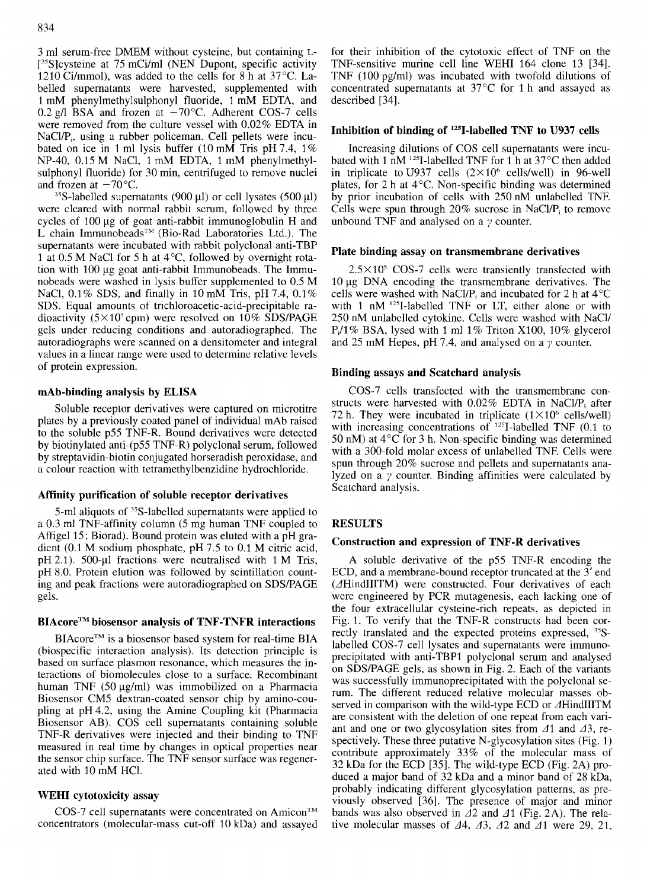3 ml serum-free DMEM without cysteine, but containing L- [<sup>35</sup>S]cysteine at 75 mCi/ml (NEN Dupont, specific activity 1210 Ci/mmol), was added to the cells for 8 h at 37°C. Labelled supernatants were harvested, supplemented with 1 mM phenylmethylsulphonyl fluoride, 1 mM EDTA, and 0.2 g/l BSA and frozen at  $-70^{\circ}$ C. Adherent COS-7 cells were removed from the culture vessel with 0.02% EDTA in NaCl/P<sub>i</sub>, using a rubber policeman. Cell pellets were incubated on ice in 1 ml lysis buffer (10 mM Tris pH 7.4, 1% NP-40, 0.15 M NaC1, 1 mM EDTA, 1 mM phenylmethylsulphonyl fluoride) for 30 min, centrifuged to remove nuclei and frozen at  $-70^{\circ}$ C.

'5S-labelled supematants (900 **pl)** or cell lysates (500 **pl)**  were cleared with normal rabbit serum, followed by three cycles of 100 µg of goat anti-rabbit immunoglobulin H and L chain Immunobeads<sup>TM</sup> (Bio-Rad Laboratories Ltd.). The supernatants were incubated with rabbit polyclonal anti-TBP 1 at 0.5 M NaCl for 5 h at  $4^{\circ}$ C, followed by overnight rotation with 100 pg goat anti-rabbit Immunobeads. The Immunobeads were washed in lysis buffer supplemented to 0.5 M NaCl, 0.1% SDS, and finally in 10 mM Tris, pH 7.4, 0.1% SDS. Equal amounts of **trichloroacetic-acid-precipitable** radioactivity  $(5 \times 10^5 \text{cpm})$  were resolved on 10% SDS/PAGE gels under reducing conditions and autoradiographed. The autoradiographs were scanned on a densitometer and integral values in a linear range were used to determine relative levels of protein expression.

# **mAb-binding analysis by ELISA**

Soluble receptor derivatives were captured on microtitre plates by a previously coated panel of individual mAb raised to the soluble p55 TNF-R. Bound derivatives were detected by biotinylated anti-(p55 TNF-R) polyclonal serum, followed by streptavidin-biotin conjugated horseradish peroxidase, and a colour reaction with tetramethylbenzidine hydrochloride.

# **Affinity purification of soluble receptor derivatives**

5-ml aliquots of <sup>35</sup>S-labelled supernatants were applied to a 0.3 ml TNF-affinity column *(5* mg human TNF coupled to Affigel 15; Biorad). Bound protein was eluted with a pH gradient (0.1 M sodium phosphate, pH 7.5 to 0.1 M citric acid, pH 2.1). 500-µl fractions were neutralised with  $1 M$  Tris, pH 8.0. Protein elution was followed by scintillation counting and peak fractions were autoradiographed on SDS/PAGE gels.

# **BIAcoreTM biosensor analysis of TNF-TNFR interactions**

BIAcore™ is a biosensor based system for real-time BIA (biospecific interaction analysis). Its detection principle is based on surface plasmon resonance, which measures the interactions of biomolecules close to a surface. Recombinant human TNF  $(50 \mu g/ml)$  was immobilized on a Pharmacia Biosensor CM5 dextran-coated sensor chip by amino-coupling at pH4.2, using the Amine Coupling kit (Pharmacia Biosensor AB). COS cell supernatants containing soluble TNF-R derivatives were injected and their binding to TNF measured in real time by changes in optical properties near the sensor chip surface. The TNF sensor surface was regenerated with 10 mM HCl.

# **WEHI cytotoxicity assay**

COS-7 cell supernatants were concentrated on Amicon<sup>TM</sup> concentrators (molecular-mass cut-off 10 kDa) and assayed for their inhibition of the cytotoxic effect of TNF on the TNF-sensitive murine cell line WEHI 164 clone 13 [34]. TNF (100 pg/ml) was incubated with twofold dilutions of concentrated supernatants at 37°C for 1 h and assayed as described [ 341.

# Inhibition of binding of <sup>125</sup>I-labelled TNF to U937 cells

Increasing dilutions of COS cell supernatants were incubated with 1 nM <sup>125</sup>I-labelled TNF for 1 h at  $37^{\circ}$ C then added in triplicate to U937 cells  $(2\times10^6 \text{ cells/well})$  in 96-well plates, for 2 h at 4°C. Non-specific binding was determined by prior incubation of cells with 250 nM unlabelled TNF. Cells were spun through  $20\%$  sucrose in NaCl/P<sub>i</sub> to remove unbound TNF and analysed on a *y* counter.

# **Plate binding assay on transmembrane derivatives**

 $2.5 \times 10^5$  COS-7 cells were transiently transfected with 10 pg DNA encoding the transmembrane derivatives. The cells were washed with NaCl/P<sub>i</sub> and incubated for 2 h at  $4^{\circ}$ C with 1 nM  $^{125}$ I-labelled TNF or LT, either alone or with 250 nM unlabelled cytokine. Cells were washed with NaCl/ P,/l% BSA, lysed with 1 ml 1% Triton X100, 10% glycerol and 25 mM Hepes, pH 7.4, and analysed on a *y* counter.

# **Binding assays and Scatchard analysis**

COS-7 cells transfected with the transmembrane constructs were harvested with 0.02% EDTA in NaCl/P, after 72 h. They were incubated in triplicate  $(1 \times 10^6 \text{ cells/well})$ with increasing concentrations of  $^{125}$ I-labelled TNF (0.1 to 50 nM) at  $4^{\circ}$ C for 3 h. Non-specific binding was determined with a 300-fold molar excess of unlabelled TNF. Cells were spun through 20% sucrose and pellets and supernatants analyzed on a  $\gamma$  counter. Binding affinities were calculated by Scatchard analysis.

# **RESULTS**

# **Construction and expression of TNF-R derivatives**

A soluble derivative of the p55 TNF-R encoding the ECD, and a membrane-bound receptor truncated at the 3' end (4HindIIITM) were constructed. Four derivatives of each were engineered by PCR mutagenesis, each lacking one of the four extracellular cysteine-rich repeats, as depicted in Fig. 1. To verify that the TNF-R constructs had been correctly translated and the expected proteins expressed, <sup>35</sup>S-<br>labelled COS 7 cell lyoates and superprients were immune labelled COS-7 cell lysates and supernatants were immunoprecipitated with anti-TBP1 polyclonal serum and analysed on SDSPAGE gels, as shown in Fig. 2. Each of the variants was successfully immunoprecipitated with the polyclonal serum. The different reduced relative molecular masses observed in comparison with the wild-type ECD or  $\Delta$ HindIIITM are consistent with the deletion of one repeat from each variant and one or two glycosylation sites from  $\Delta$ 1 and  $\Delta$ 3, respectively. These three putative N-glycosylation sites (Fig. 1) contribute approximately 33% of the molecular mass of 32 kDa for the ECD [35]. The wild-type ECD (Fig. 2A) produced a major band of 32 kDa and a minor band of 28 kDa, probably indicating different glycosylation patterns, as previously observed [36]. The presence of major and minor bands was also observed in  $\Delta 2$  and  $\Delta 1$  (Fig. 2A). The relative molecular masses of  $\Delta 4$ ,  $\Delta 3$ ,  $\Delta 2$  and  $\Delta 1$  were 29, 21,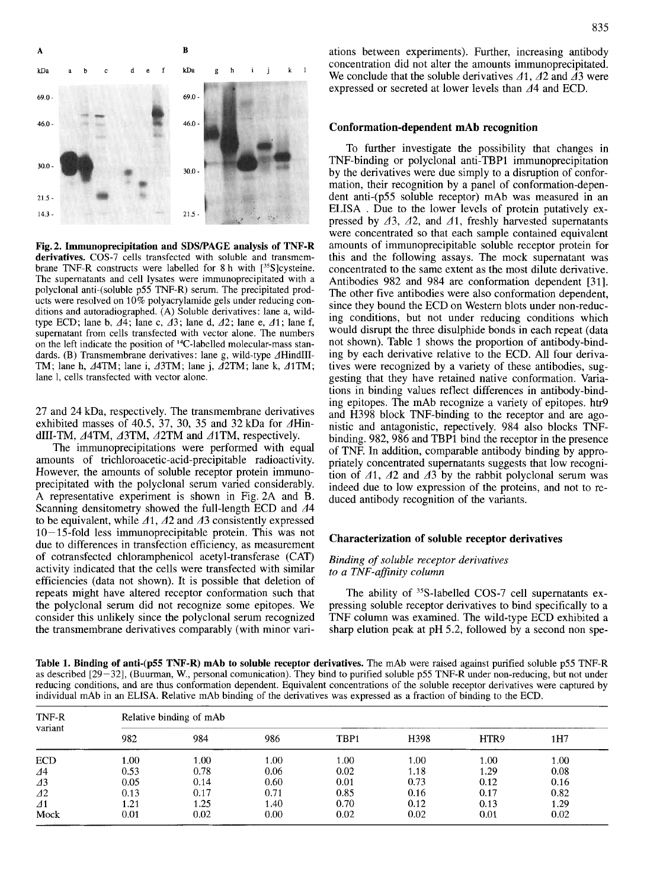

**Fig. 2. Immunoprecipitation and SDSRAGE analysis of TNF-R derivatives.** COS-7 cells transfected with soluble and transmembrane TNF-R constructs were labelled for 8 h with  $[^{35}S]$ cysteine. The supernatants and cell lysates were immunoprecipitated with a polyclonal anti-(soluble p55 TNF-R) serum. The precipitated products were resolved on 10% polyacrylamide gels under reducing conditions and autoradiographed. (A) Soluble derivatives : lane a, wildtype ECD; lane b,  $\Delta 4$ ; lane c,  $\Delta 3$ ; lane d,  $\Delta 2$ ; lane e,  $\Delta 1$ ; lane f, supernatant from cells transfected with vector alone. The numbers on the left indicate the position of 14C-labelled molecular-mass standards. (B) Transmembrane derivatives: lane g, wild-type  $\Delta$ HindIII-TM; lane h,  $\Delta$ 4TM; lane i,  $\Delta$ 3TM; lane j,  $\Delta$ 2TM; lane k,  $\Delta$ 1TM; lane 1, cells transfected with vector alone.

27 and 24 kDa, respectively. The transmembrane derivatives exhibited masses of 40.5, 37, 30, 35 and 32 kDa for  $\Delta$ HindIII-TM,  $\triangle$ 4TM,  $\triangle$ 43TM,  $\triangle$ 42TM and  $\triangle$ 41TM, respectively.

The immunoprecipitations were performed with equal amounts of **trichloroacetic-acid-precipitable** radioactivity. However, the amounts of soluble receptor protein immunoprecipitated with the polyclonal serum varied considerably. A representative experiment is shown in Fig. 2A and B. Scanning densitometry showed the full-length ECD and  $\Delta$ 4 to be equivalent, while  $\Delta$ 1,  $\Delta$ 2 and  $\Delta$ 3 consistently expressed  $10-15$ -fold less immunoprecipitable protein. This was not due to differences in transfection efficiency, as measurement of cotransfected chloramphenicol acetyl-transferase (CAT) activity indicated that the cells were transfected with similar efficiencies (data not shown). It is possible that deletion of repeats might have altered receptor conformation such that the polyclonal serum did not recognize some epitopes. We consider this unlikely since the polyclonal serum recognized the transmembrane derivatives comparably (with minor variations between experiments). Further, increasing antibody concentration did not alter the amounts immunoprecipitated. We conclude that the soluble derivatives  $\Delta 1$ ,  $\Delta 2$  and  $\Delta 3$  were expressed or secreted at lower levels than  $\Delta$ 4 and ECD.

#### **Conformation-dependent mAb recognition**

To further investigate the possibility that changes in TNF-binding or polyclonal anti-TBP1 immunoprecipitation by the derivatives were due simply to a disruption of conformation, their recognition by a panel of conformation-dependent anti-(p55 soluble receptor) mAb was measured in an ELISA . Due to the lower levels of protein putatively expressed by  $\Delta 3$ ,  $\Delta 2$ , and  $\Delta 1$ , freshly harvested supernatants were concentrated so that each sample contained equivalent amounts of immunoprecipitable soluble receptor protein for this and the following assays. The mock supernatant was concentrated to the same extent as the most dilute derivative. Antibodies 982 and 984 are conformation dependent [31]. The other five antibodies were also conformation dependent, since they bound the ECD on Western blots under non-reducing conditions, but not under reducing conditions which would disrupt the three disulphide bonds in each repeat (data not shown). Table 1 shows the proportion of antibody-binding by each derivative relative to the ECD. All four derivatives were recognized by a variety of these antibodies, suggesting that they have retained native conformation. Variations in binding values reflect differences in antibody-binding epitopes. The mAb recognize a variety of epitopes. htr9 and H398 block TNF-binding to the receptor and are agonistic and antagonistic, repectively. 984 also blocks TNFbinding. 982,986 and TBPl bind the receptor in the presence of TNF. In addition, comparable antibody binding by appropriately concentrated supernatants suggests that low recognition of  $\Delta 1$ ,  $\Delta 2$  and  $\Delta 3$  by the rabbit polyclonal serum was indeed due to low expression of the proteins, and not to reduced antibody recognition of the variants.

#### **Characterization of soluble receptor derivatives**

### *Binding* of *soluble receptor derivatives to a TNF-affinity column*

The ability of <sup>35</sup>S-labelled COS-7 cell supernatants expressing soluble receptor derivatives to bind specifically to a TNF column was examined. The wild-type ECD exhibited a sharp elution peak at pH 5.2, followed by a second non spe-

**Table 1. Binding of anti-(p55 TNF-R) mAb to soluble receptor derivatives.** The mAb were raised against purified soluble p55 TNF-R as described [29-321, (Buurman, W., personal comunication). They bind to purified soluble p55 TNF-R under non-reducing, but not under reducing conditions, and are thus conformation dependent. Equivalent concentrations of the soluble receptor derivatives were captured by individual mAb in an ELISA. Relative mAb binding of the derivatives was expressed as a fraction of binding to the ECD.

| TNF-R<br>variant | Relative binding of mAb |      |      |                  |                   |      |      |
|------------------|-------------------------|------|------|------------------|-------------------|------|------|
|                  | 982                     | 984  | 986  | TBP <sub>1</sub> | H398              | HTR9 | 1H7  |
| <b>ECD</b>       | 1.00                    | 1.00 | 1.00 | 1.00             | 1.00 <sub>1</sub> | 1.00 | 1.00 |
| ⊿4               | 0.53                    | 0.78 | 0.06 | 0.02             | 1.18              | 1.29 | 0.08 |
| $\Delta$ 3       | 0.05                    | 0.14 | 0.60 | 0.01             | 0.73              | 0.12 | 0.16 |
| 42               | 0.13                    | 0.17 | 0.71 | 0.85             | 0.16              | 0.17 | 0.82 |
| $\Delta$ 1       | 1.21                    | 1.25 | 1.40 | 0.70             | 0.12              | 0.13 | 1.29 |
| Mock             | 0.01                    | 0.02 | 0.00 | 0.02             | 0.02              | 0.01 | 0.02 |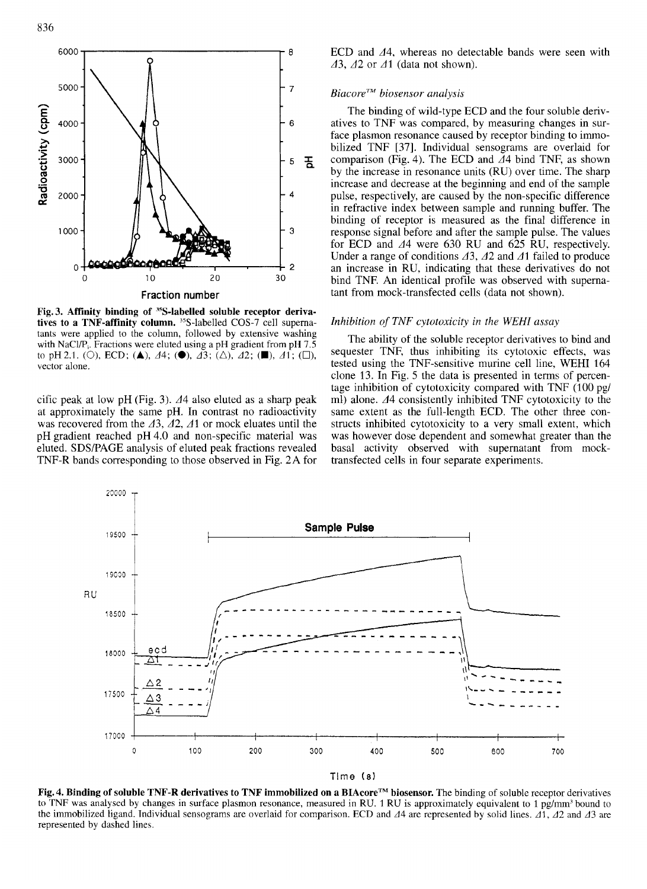

**Fig. 3. Affinity binding of 35S-labelled soluble receptor deriva**tives to a TNF-affinity column. <sup>35</sup>S-labelled COS-7 cell supernatants were applied to the column, followed by extensive washing with NaCl/P<sub>i</sub>. Fractions were eluted using a pH gradient from pH 7.5 to pH2.1. (0), ECD; **(A),** 44; **(O),** 43; (A), 42; **(B),** 41 ; *(O),*  vector alone.

cific peak at low pH (Fig. 3).  $\Delta$ 4 also eluted as a sharp peak at approximately the same pH. In contrast no radioactivity was recovered from the  $\Delta 3$ ,  $\Delta 2$ ,  $\Delta 1$  or mock eluates until the pH gradient reached pH 4.0 and non-specific material was eluted. SDSPAGE analysis of eluted peak fractions revealed TNF-R bands corresponding to those observed in Fig. 2A for ECD and  $\Delta$ 4, whereas no detectable bands were seen with 43, A2 or **dl** (data not shown).

# *BiacoreTM biosensor analysis*

The binding of wild-type ECD and the four soluble derivatives to TNF was compared, by measuring changes in surface plasmon resonance caused by receptor binding to immobilized TNF [37]. Individual sensograms are overlaid for comparison (Fig. 4). The ECD and  $\Delta$ 4 bind TNF, as shown by the increase in resonance units (RU) over time. The sharp increase and decrease at the beginning and end of the sample pulse, respectively, are caused by the non-specific difference in refractive index between sample and running buffer. The binding of receptor is measured as the final difference in response signal before and after the sample pulse. The values for ECD and  $\Delta$ 4 were 630 RU and 625 RU, respectively. Under a range of conditions  $\Delta 3$ ,  $\Delta 2$  and  $\Delta 1$  failed to produce an increase in RU, indicating that these derivatives do not 0 10 20 30 bind TNF. An identical profile was observed with supernatant from mock-transfected cells (data not shown).

#### *Inhibition of TNF cytotoxicity in the WEHI assay*

The ability of the soluble receptor derivatives to bind and sequester TNF, thus inhibiting its cytotoxic effects, was tested using the TNF-sensitive murine cell line, WEHI 164 clone 13. In Fig. *5* the data is presented in terms of percentage inhibition of cytotoxicity compared with TNF (100 pg/ ml) alone. A4 consistently inhibited TNF cytotoxicity to the same extent as the full-length ECD. The other three constructs inhibited cytotoxicity to a very small extent, which was however dose dependent and somewhat greater than the basal activity observed with supernatant from mocktransfected cells in four separate experiments.



Tlme *(8)* 

**Fig. 4. Binding of soluble TNF-R derivatives to TNF immobilized on a BIAcoreTM biosensor.** The binding of soluble receptor derivatives to TNF was analysed by changes in surface plasmon resonance, measured in **RU.** 1 RU is approximately equivalent to 1 pg/mm' bound to the immobilized ligand. Individual sensograms are overlaid for comparison. ECD and  $\Delta$ 4 are represented by solid lines.  $\Delta$ 1,  $\Delta$ 2 and  $\Delta$ 3 are represented by dashed lines.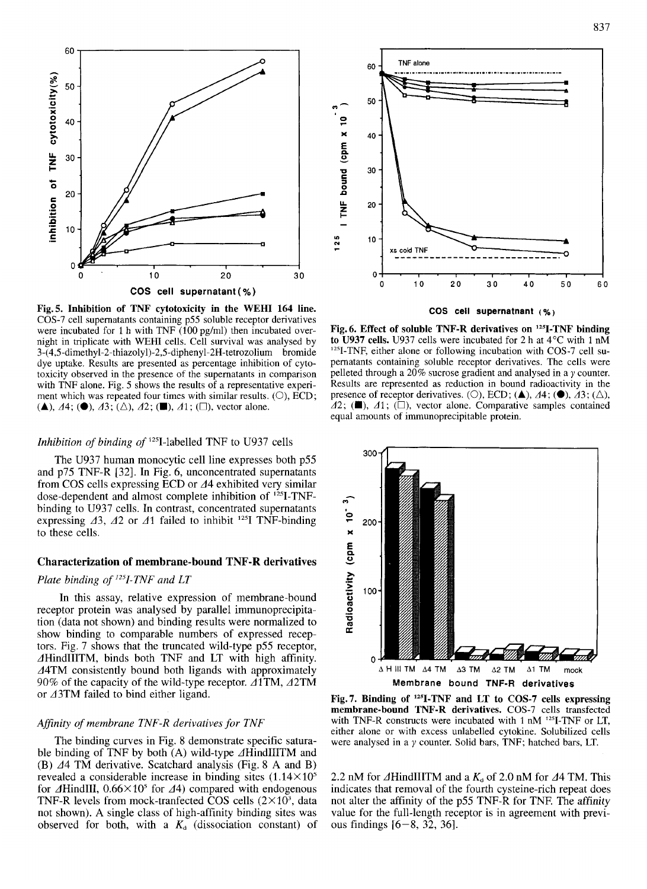

COS-7 cell supernatants containing p55 soluble receptor derivatives were incubated for 1 h with TNF  $(100 \text{ pg/ml})$  then incubated overnight in triplicate with WEHI cells. Cell survival was analysed by **3-(4,5-dimethyl-2-thiazolyl)-2,5-diphenyl-2H-tetrozolium** bromide dye uptake. Results are presented as percentage inhibition of cytotoxicity observed in the presence of the supernatants in comparison with TNF alone. Fig. *5* shows the results of a representative experiment which was repeated four times with similar results. *(O),* ECD; **(** $\blacktriangle$ **),**  $\varDelta$ 4; **(** $\blacklozenge$ **),**  $\varDelta$ 3;  $(\triangle)$ ,  $\varDelta$ 2; **(** $\blacksquare$ **)**,  $\varDelta$ 1;  $(\square)$ , vector alone.

### *Inhibition of binding of* '2sI-labelled TNF to U937 cells

The U937 human monocytic cell line expresses both p55 and p75 TNF-R [32]. In Fig. 6, unconcentrated supernatants from COS cells expressing ECD or  $\Delta$ 4 exhibited very similar dose-dependent and almost complete inhibition of <sup>125</sup>I-TNFbinding to U937 cells. In contrast, concentrated supernatants expressing  $\Delta 3$ ,  $\Delta 2$  or  $\Delta 1$  failed to inhibit <sup>125</sup>I TNF-binding to these cells.

### **Characterization of membrane-bound TNF-R derivatives**

# *Plate binding of <sup>125</sup>I-TNF and LT*

In this assay, relative expression of membrane-bound receptor protein was analysed by parallel immunoprecipitation (data not shown) and binding results were normalized to show binding to comparable numbers of expressed receptors. Fig. 7 shows that the truncated wild-type p55 receptor, AHindIIITM, binds both TNF and LT with high affinity. 44TM consistently bound both ligands with approximately 90% of the capacity of the wild-type receptor.  $\triangle$ 1TM,  $\triangle$ 2TM or 43TM failed to bind either ligand.

# *Afinity of membrane TNF-R derivatives for TNF*

The binding curves in Fig. 8 demonstrate specific saturable binding of TNF by both  $(A)$  wild-type  $\Delta$ HindIIITM and (B)  $\Delta$ 4 TM derivative. Scatchard analysis (Fig. 8 A and B) revealed a considerable increase in binding sites  $(1.14 \times 10^5$ for  $\Delta$ HindIII,  $0.66 \times 10^5$  for  $\Delta$ 4) compared with endogenous TNF-R levels from mock-tranfected COS cells  $(2\times10^3)$ , data not shown). A single class of high-affinity binding sites was observed for both, with a  $K_d$  (dissociation constant) of



**COS cell supernatnant** *(ye)* 

Fig. 6. Effect of soluble TNF-R derivatives on <sup>125</sup>I-TNF binding **to U937 cells. U937** cells were incubated for 2 h at 4°C with 1 nM <sup>125</sup>I-TNF, either alone or following incubation with COS-7 cell supernatants containing soluble receptor derivatives. The cells were pelleted through a 20% sucrose gradient and analysed in a *y* counter. Results are represented as reduction in bound radioactivity in the presence of receptor derivatives. (O), ECD;  $(\triangle)$ ,  $\Delta$ 4;  $(\triangle)$ ,  $\Delta$ 3;  $(\triangle)$ ,  $42$ ; ( $\blacksquare$ ),  $41$ ; ( $\square$ ), vector alone. Comparative samples contained equal amounts of immunoprecipitable protein.



Fig. 7. Binding of <sup>125</sup>I-TNF and LT to COS-7 cells expressing **membrane-bound TNF-R derivatives.** COS-7 cells transfected with TNF-R constructs were incubated with 1 nM <sup>125</sup>I-TNF or LT, either alone or with excess unlabelled cytokine. Solubilized cells were analysed in a *y* counter. Solid bars, TNF; hatched bars, LT.

2.2 nM for  $\Delta$ HindIIITM and a  $K_d$  of 2.0 nM for  $\Delta$ 4 TM. This indicates that removal of the fourth cysteine-rich repeat does not alter the affinity of the p55 TNF-R for TNF. The affinity value for the full-length receptor is in agreement with previous findings  $[6-8, 32, 36]$ .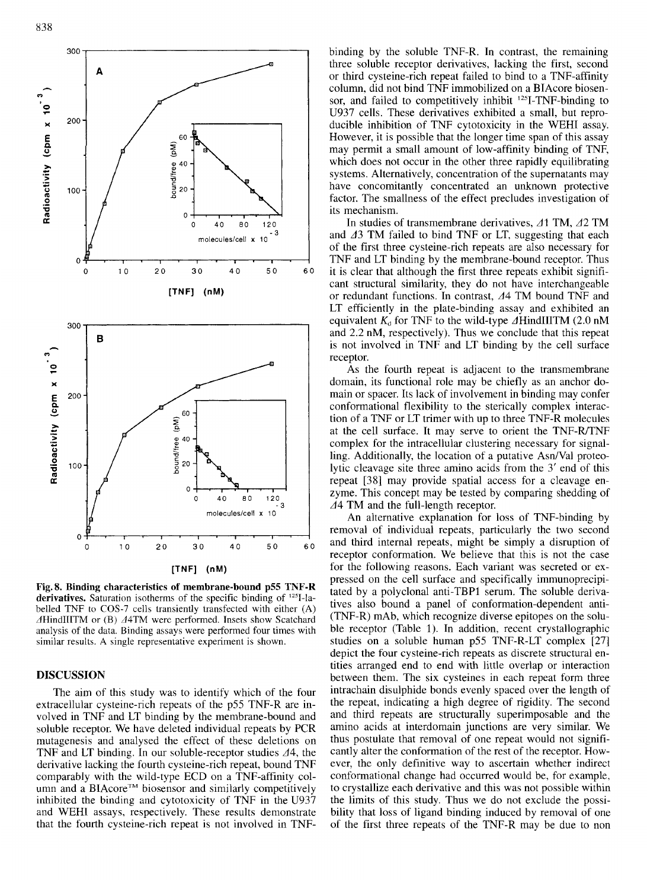

**Fig. 8. Binding characteristics of membrane-bound p55 TNF-R**  derivatives. Saturation isotherms of the specific binding of <sup>125</sup>I-labelled TNF to COS-7 cells transiently transfected with either **(A)**   $\Delta$ HindIIITM or (B)  $\Delta$ 4TM were performed. Insets show Scatchard analysis of the data. Binding assays were performed four times with similar results. A single representative experiment is shown.

#### **DISCUSSION**

The aim of this study was to identify which of the four extracellular cysteine-rich repeats of the p55 TNF-R are involved in TNF and LT binding by the membrane-bound and soluble receptor. We have deleted individual repeats by PCR mutagenesis and analysed the effect of these deletions on TNF and LT binding. In our soluble-receptor studies  $\Delta 4$ , the derivative lacking the fourth cysteine-rich repeat, bound TNF comparably with the wild-type ECD on a TNF-affinity column and a BIAcore<sup>TM</sup> biosensor and similarly competitively inhibited the binding and cytotoxicity of TNF in the U937 and WEHI assays. respectively. These results demonstrate that the fourth cysteine-rich repeat is not involved in TNF- binding by the soluble TNF-R. In contrast, the remaining three soluble receptor derivatives, lacking the first, second or third cysteine-rich repeat failed to bind to a TNF-affinity column, did not bind TNF immobilized on a BIAcore biosensor, and failed to competitively inhibit <sup>125</sup>I-TNF-binding to U937 cells. These derivatives exhibited a small, but reproducible inhibition of TNF cytotoxicity in the WEHI assay. However, it is possible that the longer time span of this assay may permit a small amount of low-affinity binding of TNF, which does not occur in the other three rapidly equilibrating systems. Alternatively, concentration of the supernatants may have concomitantly concentrated an unknown protective factor. The smallness of the effect precludes investigation of its mechanism.

In studies of transmembrane derivatives,  $\Delta$ 1 TM,  $\Delta$ 2 TM and  $\Delta$ 3 TM failed to bind TNF or LT, suggesting that each of the first three cysteine-rich repeats are also necessary for TNF and LT binding by the membrane-bound receptor. Thus it is clear that although the first three repeats exhibit significant structural similarity, they do not have interchangeable or redundant functions. In contrast, 44 TM bound TNF and LT efficiently in the plate-binding assay and exhibited an equivalent  $K_d$  for TNF to the wild-type  $\Delta$ HindIIITM (2.0 nM and 2.2 nM, respectively). Thus we conclude that this repeat is not involved in TNF and LT binding by the cell surface receptor.

As the fourth repeat is adjacent to the transmembrane domain, its functional role may be chiefly as an anchor domain or spacer. Its lack of involvement in binding may confer conformational flexibility to the sterically complex interaction of a TNF or LT trimer with up to three TNF-R molecules at the cell surface. It may serve to orient the TNF-R/TNF complex for the intracellular clustering necessary for signalling. Additionally, the location of a putative Asn/Val proteolytic cleavage site three amino acids from the 3' end of this repeat [38] may provide spatial access for a cleavage enzyme. This concept may be tested by comparing shedding of 44 TM and the full-length receptor.

An alternative explanation for loss of TNF-binding by removal of individual repeats, particularly the two second and third internal repeats, might be simply a disruption of receptor conformation. We believe that this is not the case for the following reasons. Each variant was secreted or expressed on the cell surface and specifically immunoprecipitated by a polyclonal anti-TBP1 serum. The soluble derivatives also bound a panel of conformation-dependent anti- (TNF-R) mAb, which recognize diverse epitopes on the soluble receptor (Table 1). In addition, recent crystallographic studies on a soluble human p55 TNF-R-LT complex [27] depict the four cysteine-rich repeats as discrete structural entities arranged end to end with little overlap or interaction between them. The six cysteines in each repeat form three intrachain disulphide bonds evenly spaced over the length of the repeat, indicating a high degree of rigidity. The second and third repeats are structurally superimposable and the amino acids at interdomain junctions are very similar. We thus postulate that removal of one repeat would not significantly alter the conformation of the rest of the receptor. However, the only definitive way to ascertain whether indirect conformational change had occurred would be, for example, to crystallize each derivative and this was not possible within the limits of this study. Thus we do not exclude the possibility that loss of ligand binding induced by removal of one of the first three repeats of the TNF-R may be due to non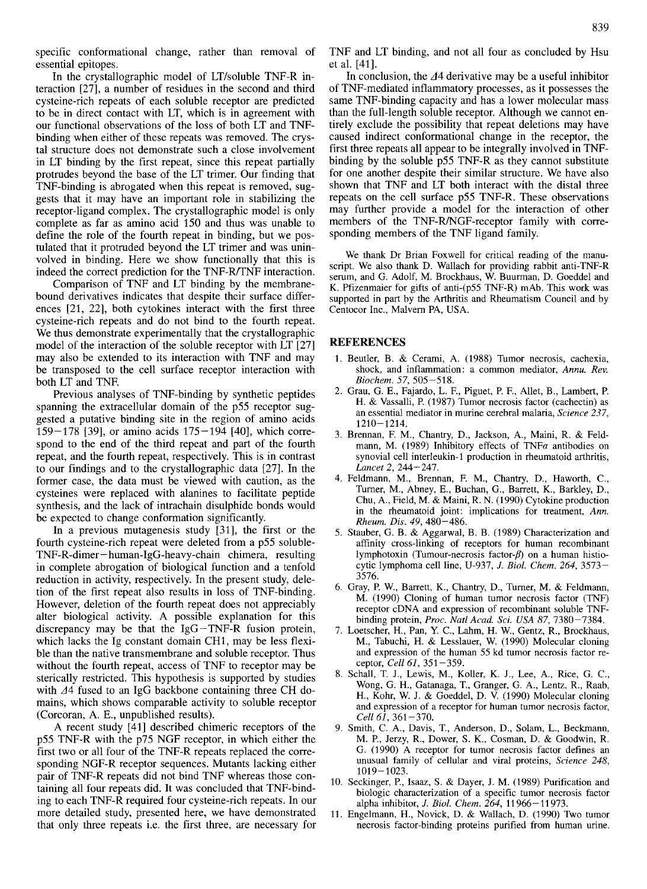In the crystallographic model of LT/soluble TNF-R interaction [27], a number of residues in the second and third cysteine-rich repeats of each soluble receptor are predicted to be in direct contact with LT, which is in agreement with our functional observations of the loss of both LT and TNFbinding when either of these repeats was removed. The crystal structure does not demonstrate such a close involvement in LT binding by the first repeat, since this repeat partially protrudes beyond the base of the LT trimer. Our finding that TNF-binding is abrogated when this repeat is removed, suggests that it may have an important role in stabilizing the receptor-ligand complex. The crystallographic model is only complete as far as amino acid 150 and thus was unable to define the role of the fourth repeat in binding, but we postulated that it protruded beyond the LT trimer and was uninvolved in binding. Here we show functionally that this is indeed the correct prediction for the TNF-R/TNF interaction.

Comparison of TNF and LT binding by the membranebound derivatives indicates that despite their surface differences [21, 221, both cytokines interact with the first three cysteine-rich repeats and do not bind to the fourth repeat. We thus demonstrate experimentally that the crystallographic model of the interaction of the soluble receptor with LT [27] may also be extended to its interaction with TNF and may be transposed to the cell surface receptor interaction with both LT and TNF.

Previous analyses of TNF-binding by synthetic peptides spanning the extracellular domain of the p55 receptor suggested a putative binding site in the region of amino acids  $159-178$  [39], or amino acids  $175-194$  [40], which correspond to the end of the third repeat and part of the fourth repeat, and the fourth repeat, respectively. This is in contrast to our findings and to the crystallographic data [27]. In the former case, the data must be viewed with caution, as the cysteines were replaced with alanines to facilitate peptide synthesis, and the lack of intrachain disulphide bonds would be expected to change conformation significantly.

In a previous mutagenesis study [31], the first or the fourth cysteine-rich repeat were deleted from a p55 soluble-**TNF-R-dimer-human-IgG-heavy-chain** chimera, resulting in complete abrogation of biological function and a tenfold reduction in activity, respectively. In the present study, deletion of the first repeat also results in loss of TNF-binding. However, deletion of the fourth repeat does not appreciably alter biological activity. **A** possible explanation for this discrepancy may be that the IgG-TNF-R fusion protein, which lacks the Ig constant domain CH1, may be less flexible than the native transmembrane and soluble receptor. Thus without the fourth repeat, access of TNF to receptor may be sterically restricted. This hypothesis is supported by studies with A4 fused to **an** IgG backbone containing three CH domains, which shows comparable activity to soluble receptor (Corcoran, **A.** E., unpublished results).

**A** recent study [41] described chimeric receptors of the p55 TNF-R with the p75 NGF receptor, in which either the first two or all four of the TNF-R repeats replaced the corresponding NGF-R receptor sequences. Mutants lacking either pair of TNF-R repeats did not bind TNF whereas those containing all four repeats did. It was concluded that TNF-binding to each TNF-R required four cysteine-rich repeats. In our more detailed study, presented here, we have demonstrated that only three repeats i.e. the first three, are necessary for TNF and LT binding, and not all four as concluded by Hsu et al. [41].

In conclusion, the  $\Delta$ 4 derivative may be a useful inhibitor of TNF-mediated inflammatory processes, as it possesses the same TNF-binding capacity and has a lower molecular mass than the full-length soluble receptor. Although we cannot entirely exclude the possibility that repeat deletions may have caused indirect conformational change in the receptor, the first three repeats all appear to be integrally involved in TNFbinding by the soluble p55 TNF-R as they cannot substitute for one another despite their similar structure. We have also shown that TNF and LT both interact with the distal three repeats on the cell surface p55 TNF-R. These observations may further provide a model for the interaction of other members of the TNF-R/NGF-receptor family with corresponding members of the TNF ligand family.

We thank Dr Brian Foxwell for critical reading of the manuscript. We also thank D. Wallach for providing rabbit anti-TNF-R serum, and G. Adolf, M. Brockhaus, W. Buurman, D. Goeddel and K. Pfizenmaier for gifts of anti-(p55 TNF-R) mAb. This work was supported in part by the Arthritis and Rheumatism Council and by Centocor Inc., Malvern PA, USA.

#### **REFERENCES**

- 1. Beutler, B. & Cerami, A. (1988) Tumor necrosis, cachexia, shock, and inflammation: a common mediator, *Annu. Rev. Biochem.* 57, 505-518.
- 2. Grau, G. E., Fajardo, L. F., Piguet, P. F., Allet, B., Lambert, P. H. & Vassalli, P. (1987) Tumor necrosis factor (cachectin) as an essential mediator in murine cerebral malaria, *Science* 237, 1210-1214.
- 3. Brennan, F. M., Chantry, D., Jackson, A., Maini, R. & Feldmann, M. (1989) Inhibitory effects of TNF $\alpha$  antibodies on synovial cell interleukin-1 production in rheumatoid arthritis, *Lancet* 2, 244-247.
- 4. Feldmann, **M.,** Brennan, F. M., Chantry, D., Haworth, C., Turner, **M.,** Abney, E., Buchan, G., Barrett, K., Barkley, D., Chu, A., Field, M. & Maini, R. N. (1990) Cytokine production in the rheumatoid joint: implications for treatment, *Ann. Rheum. Dis.* 49,480-486.
- *5.*  Stauber, G. B. & Aggarwal, B. B. (1989) Characterization and affinity cross-linking of receptors for human recombinant lymphotoxin (Tumour-necrosis factor- $\beta$ ) on a human histiocytic lymphoma cell line, U-937, *J. Biol. Chem.* 264, 3573- 3576.
- 6. Gray, P. W., Barrett, K., Chantry, D., Turner, M. & Feldmann, M. (1990) Cloning of human tumor necrosis factor (TNF) receptor cDNA and expression of recombinant soluble TNFbinding protein, *Proc. Natl Acad. Sci. USA* 87, 7380-7384.
- 7. Loetscher, H., Pan, **Y.** C., Lahm, H. W., Gentz, R., Brockhaus, **M.,** Tabuchi, H. & Lesslauer, W. (1990) Molecular cloning and expression of the human *55* kd tumor necrosis factor receptor, *Cell* 61, 351-359.
- 8. Schall, T. J., Lewis, M., Koller, **K.** J., Lee, A., Rice, G. C., Wong, G. H., Gatanaga, **T.,** Granger, G. A., Lentz, R., Raab, H., Kohr, W. **J.** & Goeddel, D. **V.** (1990) Molecular cloning and expression of a receptor for human tumor necrosis factor, *Cell 61*, 361-370.
- 9. Smith, C. A., Davis, T., Anderson, D., Solam, L., Beckmann, M. P., Jerzy, R., Dower, **S.** K., Cosman, D. & Goodwin, R. G. (1990) A receptor for tumor necrosis factor defines an unusual family of cellular and viral proteins, *Science* 248, 1019-1023.
- 10. Seckinger, P., Isaaz, **S.** & Dayer, J. M. (1989) Purification and biologic characterization of a specific tumor necrosis factor alpha inhibitor, *J. Biol. Chem.* 264, 11 966-11973.
- 11. Engelmann, **H.,** Novick, D. & Wallach, D. (1990) Two tumor necrosis factor-binding proteins purified from human urine.